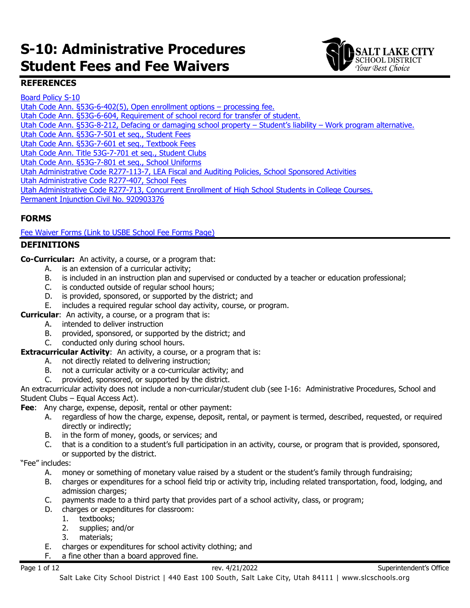# **S-10: Administrative Procedures Student Fees and Fee Waivers**



## **REFERENCES**

[Board Policy S-10](https://websites.slcschools.org/fs/resource-manager/view/c2216a27-fdc4-45f4-8d02-3b945bf3a481) [Utah Code Ann. §53G-6-402\(5\), Open enrollment options –](https://le.utah.gov/xcode/Title53G/Chapter6/53G-6-S402.html) processing fee. [Utah Code Ann. §53G-6-604, Requirement of school record for transfer of student.](https://le.utah.gov/xcode/Title53G/Chapter6/53G-6-S604.html?v=C53G-6-S604_2018012420180124) [Utah Code Ann. §53G-8-212, Defacing or damaging school property –](https://le.utah.gov/xcode/Title53G/Chapter8/53G-8-S212.html?v=C53G-8-S212_2019051420190514) Student's liability – Work program alternative. [Utah Code Ann. §53G-7-501 et seq., Student Fees](https://le.utah.gov/xcode/Title53G/Chapter7/53G-7-S501.html?v=C53G-7-S501_2019051420190701) [Utah Code Ann. §53G-7-601 et seq., Textbook Fees](https://le.utah.gov/xcode/Title53G/Chapter7/53G-7-S601.html?v=C53G-7-S601_2019051420190701) [Utah Code Ann. Title 53G-7-701 et seq., Student Clubs](https://le.utah.gov/xcode/Title53G/Chapter7/53G-7-S701.html?v=C53G-7-S701_2019051420190514) [Utah Code Ann. §53G-7-801 et seq., School Uniforms](https://le.utah.gov/xcode/Title53G/Chapter7/53G-7-S801.html?v=C53G-7-S801_2019051420190701) Utah Administrative Code R277-113-7, LEA Fiscal [and Auditing Policies, School Sponsored Activities](https://rules.utah.gov/publicat/code/r277/r277-113.htm#T7)  [Utah Administrative Code R277-407, School Fees](https://rules.utah.gov/publicat/code/r277/r277-407.htm) [Utah Administrative Code R277-713, Concurrent Enrollment of High School Students in College Courses.](https://rules.utah.gov/publicat/code/r277/r277-713.htm) [Permanent Injunction Civil No. 920903376](https://www.schools.utah.gov/file/e85ca012-f53f-42a4-89c9-cfc5b4f6c9f2)

# **FORMS**

[Fee Waiver Forms \(Link to USBE School Fee Forms Page\)](https://www.schools.utah.gov/schoolfees?mid=4340&tid=3)

#### **DEFINITIONS**

**Co-Curricular:** An activity, a course, or a program that:

- A. is an extension of a curricular activity;<br>B. is included in an instruction plan and s
- B. is included in an instruction plan and supervised or conducted by a teacher or education professional;<br>C. is conducted outside of regular school hours;
- is conducted outside of regular school hours;
- D. is provided, sponsored, or supported by the district; and
- E. includes a required regular school day activity, course, or program.
- **Curricular**: An activity, a course, or a program that is:
	- A. intended to deliver instruction
	- B. provided, sponsored, or supported by the district; and
	- C. conducted only during school hours.
- **Extracurricular Activity:** An activity, a course, or a program that is:
	- A. not directly related to delivering instruction;
	- B. not a curricular activity or a co-curricular activity; and
	- C. provided, sponsored, or supported by the district.

An extracurricular activity does not include a non-curricular/student club (see I-16: Administrative Procedures, School and Student Clubs – Equal Access Act).

**Fee**: Any charge, expense, deposit, rental or other payment:

- A. regardless of how the charge, expense, deposit, rental, or payment is termed, described, requested, or required directly or indirectly;
- B. in the form of money, goods, or services; and
- C. that is a condition to a student's full participation in an activity, course, or program that is provided, sponsored, or supported by the district.

"Fee" includes:

- A. money or something of monetary value raised by a student or the student's family through fundraising;<br>B. charges or expenditures for a school field trip or activity trip, including related transportation, food, lodg
- B. charges or expenditures for a school field trip or activity trip, including related transportation, food, lodging, and admission charges;
- C. payments made to a third party that provides part of a school activity, class, or program;
- D. charges or expenditures for classroom:
	- 1. textbooks;
	- 2. supplies; and/or
	- 3. materials;
- E. charges or expenditures for school activity clothing; and
- F. a fine other than a board approved fine.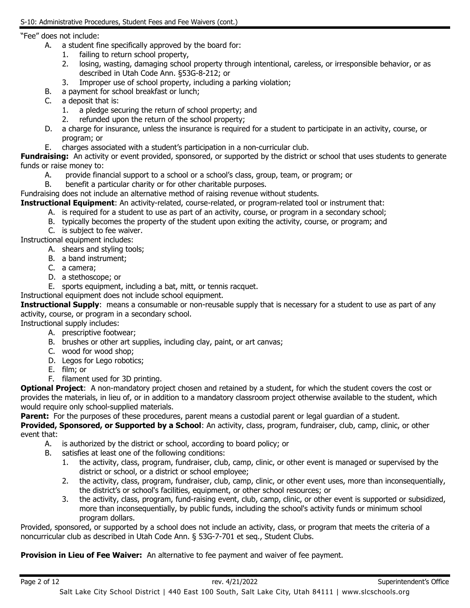#### "Fee" does not include:

- A. a student fine specifically approved by the board for:
	- 1. failing to return school property,
	- 2. losing, wasting, damaging school property through intentional, careless, or irresponsible behavior, or as described in Utah Code Ann. §53G-8-212; or
	- 3. Improper use of school property, including a parking violation;
- B. a payment for school breakfast or lunch;<br>C. a deposit that is:
- a deposit that is:
	- 1. a pledge securing the return of school property; and
	- 2. refunded upon the return of the school property;
- D. a charge for insurance, unless the insurance is required for a student to participate in an activity, course, or program; or
- E. charges associated with a student's participation in a non-curricular club.

Fundraising: An activity or event provided, sponsored, or supported by the district or school that uses students to generate funds or raise money to:

- A. provide financial support to a school or a school's class, group, team, or program; or
- B. benefit a particular charity or for other charitable purposes.

Fundraising does not include an alternative method of raising revenue without students.

**Instructional Equipment**: An activity-related, course-related, or program-related tool or instrument that:

- A. is required for a student to use as part of an activity, course, or program in a secondary school;
- B. typically becomes the property of the student upon exiting the activity, course, or program; and

C. is subject to fee waiver.

Instructional equipment includes:

- A. shears and styling tools;
- B. a band instrument;
- C. a camera;
- D. a stethoscope; or
- E. sports equipment, including a bat, mitt, or tennis racquet.

Instructional equipment does not include school equipment.

**Instructional Supply**: means a consumable or non-reusable supply that is necessary for a student to use as part of any activity, course, or program in a secondary school.

Instructional supply includes:

- A. prescriptive footwear;
- B. brushes or other art supplies, including clay, paint, or art canvas;
- C. wood for wood shop;
- D. Legos for Lego robotics;
- E. film; or
- F. filament used for 3D printing.

**Optional Project**: A non-mandatory project chosen and retained by a student, for which the student covers the cost or provides the materials, in lieu of, or in addition to a mandatory classroom project otherwise available to the student, which would require only school-supplied materials.

**Parent:** For the purposes of these procedures, parent means a custodial parent or legal guardian of a student. **Provided, Sponsored, or Supported by a School**: An activity, class, program, fundraiser, club, camp, clinic, or other event that:

- A. is authorized by the district or school, according to board policy; or
- B. satisfies at least one of the following conditions:
	- 1. the activity, class, program, fundraiser, club, camp, clinic, or other event is managed or supervised by the district or school, or a district or school employee;
	- 2. the activity, class, program, fundraiser, club, camp, clinic, or other event uses, more than inconsequentially, the district's or school's facilities, equipment, or other school resources; or
	- 3. the activity, class, program, fund-raising event, club, camp, clinic, or other event is supported or subsidized, more than inconsequentially, by public funds, including the school's activity funds or minimum school program dollars.

Provided, sponsored, or supported by a school does not include an activity, class, or program that meets the criteria of a noncurricular club as described in Utah Code Ann. § 53G-7-701 et seq., Student Clubs.

**Provision in Lieu of Fee Waiver:** An alternative to fee payment and waiver of fee payment.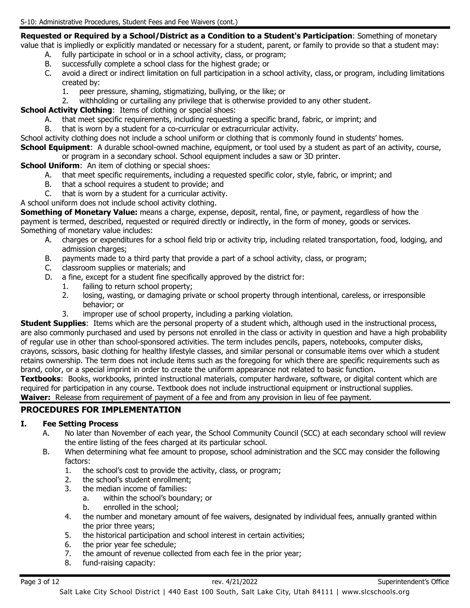**Requested or Required by a School/District as a Condition to a Student's Participation**: Something of monetary

- value that is impliedly or explicitly mandated or necessary for a student, parent, or family to provide so that a student may: A. fully participate in school or in a school activity, class, or program;
	- B. successfully complete a school class for the highest grade; or
	- C. avoid a direct or indirect limitation on full participation in a school activity, class, or program, including limitations created by:
		- 1. peer pressure, shaming, stigmatizing, bullying, or the like; or
		- withholding or curtailing any privilege that is otherwise provided to any other student.

**School Activity Clothing:** Items of clothing or special shoes:

- A. that meet specific requirements, including requesting a specific brand, fabric, or imprint; and
- B. that is worn by a student for a co-curricular or extracurricular activity.

School activity clothing does not include a school uniform or clothing that is commonly found in students' homes. **School Equipment**: A durable school-owned machine, equipment, or tool used by a student as part of an activity, course, or program in a secondary school. School equipment includes a saw or 3D printer.

**School Uniform:** An item of clothing or special shoes:

- A. that meet specific requirements, including a requested specific color, style, fabric, or imprint; and
- B. that a school requires a student to provide; and
- C. that is worn by a student for a curricular activity.

A school uniform does not include school activity clothing.

**Something of Monetary Value:** means a charge, expense, deposit, rental, fine, or payment, regardless of how the payment is termed, described, requested or required directly or indirectly, in the form of money, goods or services. Something of monetary value includes:

- A. charges or expenditures for a school field trip or activity trip, including related transportation, food, lodging, and admission charges;
- B. payments made to a third party that provide a part of a school activity, class, or program;
- C. classroom supplies or materials; and
- D. a fine, except for a student fine specifically approved by the district for:
	- 1. failing to return school property;
		- 2. losing, wasting, or damaging private or school property through intentional, careless, or irresponsible behavior; or
		- 3. improper use of school property, including a parking violation.

**Student Supplies**: Items which are the personal property of a student which, although used in the instructional process, are also commonly purchased and used by persons not enrolled in the class or activity in question and have a high probability of regular use in other than school-sponsored activities. The term includes pencils, papers, notebooks, computer disks, crayons, scissors, basic clothing for healthy lifestyle classes, and similar personal or consumable items over which a student retains ownership. The term does not include items such as the foregoing for which there are specific requirements such as brand, color, or a special imprint in order to create the uniform appearance not related to basic function.

**Textbooks**: Books, workbooks, printed instructional materials, computer hardware, software, or digital content which are required for participation in any course. Textbook does not include instructional equipment or instructional supplies. **Waiver:** Release from requirement of payment of a fee and from any provision in lieu of fee payment.

# **PROCEDURES FOR IMPLEMENTATION**

#### **I. Fee Setting Process**

- A. No later than November of each year, the School Community Council (SCC) at each secondary school will review the entire listing of the fees charged at its particular school.
- B. When determining what fee amount to propose, school administration and the SCC may consider the following factors:
	- 1. the school's cost to provide the activity, class, or program;
	- 2. the school's student enrollment;
	- 3. the median income of families:
		- a. within the school's boundary; or
		- b. enrolled in the school;
	- 4. the number and monetary amount of fee waivers, designated by individual fees, annually granted within the prior three years;
	- 5. the historical participation and school interest in certain activities;
	- 6. the prior year fee schedule;<br>7. the amount of revenue colle
	- the amount of revenue collected from each fee in the prior year;
	- 8. fund-raising capacity: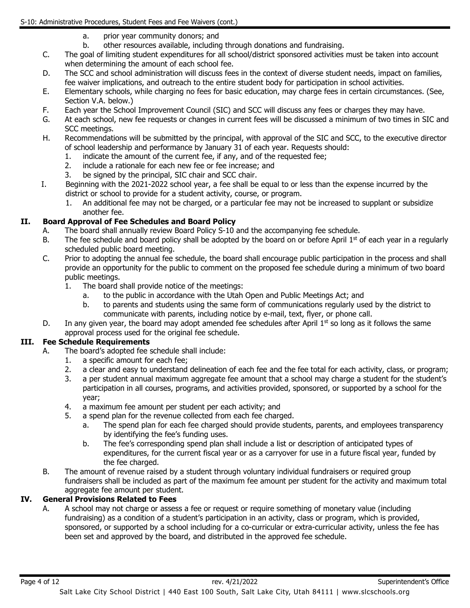- a. prior year community donors; and
- b. other resources available, including through donations and fundraising.
- C. The goal of limiting student expenditures for all school/district sponsored activities must be taken into account when determining the amount of each school fee.
- D. The SCC and school administration will discuss fees in the context of diverse student needs, impact on families, fee waiver implications, and outreach to the entire student body for participation in school activities.
- E. Elementary schools, while charging no fees for basic education, may charge fees in certain circumstances. (See, Section V.A. below.)
- F. Each year the School Improvement Council (SIC) and SCC will discuss any fees or charges they may have.<br>G. At each school, new fee requests or changes in current fees will be discussed a minimum of two times in S
- At each school, new fee requests or changes in current fees will be discussed a minimum of two times in SIC and SCC meetings.
- H. Recommendations will be submitted by the principal, with approval of the SIC and SCC, to the executive director of school leadership and performance by January 31 of each year. Requests should:
	- 1. indicate the amount of the current fee, if any, and of the requested fee;<br>2. include a rationale for each new fee or fee increase; and
	- include a rationale for each new fee or fee increase; and
	- 3. be signed by the principal, SIC chair and SCC chair.
- I. Beginning with the 2021-2022 school year, a fee shall be equal to or less than the expense incurred by the district or school to provide for a student activity, course, or program.
	- 1. An additional fee may not be charged, or a particular fee may not be increased to supplant or subsidize another fee.

# **II. Board Approval of Fee Schedules and Board Policy**

- A. The board shall annually review Board Policy S-10 and the accompanying fee schedule.<br>B. The fee schedule and board policy shall be adopted by the board on or before April  $1<sup>st</sup>$  c
- The fee schedule and board policy shall be adopted by the board on or before April 1st of each year in a regularly scheduled public board meeting.
- C. Prior to adopting the annual fee schedule, the board shall encourage public participation in the process and shall provide an opportunity for the public to comment on the proposed fee schedule during a minimum of two board public meetings.
	- 1. The board shall provide notice of the meetings:
		- a. to the public in accordance with the Utah Open and Public Meetings Act; and
		- b. to parents and students using the same form of communications regularly used by the district to communicate with parents, including notice by e-mail, text, flyer, or phone call.
- D. In any given year, the board may adopt amended fee schedules after April  $1<sup>st</sup>$  so long as it follows the same approval process used for the original fee schedule.

# **III. Fee Schedule Requirements**

- A. The board's adopted fee schedule shall include:
	- 1. a specific amount for each fee;
	- 2. a clear and easy to understand delineation of each fee and the fee total for each activity, class, or program;
	- 3. a per student annual maximum aggregate fee amount that a school may charge a student for the student's participation in all courses, programs, and activities provided, sponsored, or supported by a school for the year;
	- 4. a maximum fee amount per student per each activity; and<br>5. a spend plan for the revenue collected from each fee chard
		- a spend plan for the revenue collected from each fee charged.
			- a. The spend plan for each fee charged should provide students, parents, and employees transparency by identifying the fee's funding uses.
			- b. The fee's corresponding spend plan shall include a list or description of anticipated types of expenditures, for the current fiscal year or as a carryover for use in a future fiscal year, funded by the fee charged.
- B. The amount of revenue raised by a student through voluntary individual fundraisers or required group fundraisers shall be included as part of the maximum fee amount per student for the activity and maximum total aggregate fee amount per student.

# **IV. General Provisions Related to Fees**

A. A school may not charge or assess a fee or request or require something of monetary value (including fundraising) as a condition of a student's participation in an activity, class or program, which is provided, sponsored, or supported by a school including for a co-curricular or extra-curricular activity, unless the fee has been set and approved by the board, and distributed in the approved fee schedule.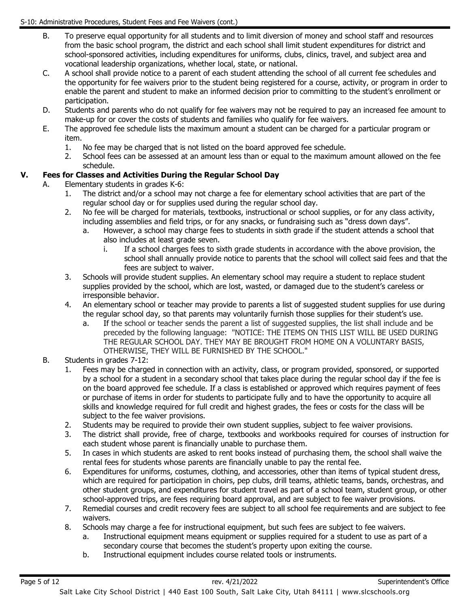- B. To preserve equal opportunity for all students and to limit diversion of money and school staff and resources from the basic school program, the district and each school shall limit student expenditures for district and school-sponsored activities, including expenditures for uniforms, clubs, clinics, travel, and subject area and vocational leadership organizations, whether local, state, or national.
- C. A school shall provide notice to a parent of each student attending the school of all current fee schedules and the opportunity for fee waivers prior to the student being registered for a course, activity, or program in order to enable the parent and student to make an informed decision prior to committing to the student's enrollment or participation.
- D. Students and parents who do not qualify for fee waivers may not be required to pay an increased fee amount to make-up for or cover the costs of students and families who qualify for fee waivers.
- E. The approved fee schedule lists the maximum amount a student can be charged for a particular program or item.<br>1.
	- No fee may be charged that is not listed on the board approved fee schedule.
	- 2. School fees can be assessed at an amount less than or equal to the maximum amount allowed on the fee schedule.

#### **V. Fees for Classes and Activities During the Regular School Day**

- A. Elementary students in grades K-6:
	- 1. The district and/or a school may not charge a fee for elementary school activities that are part of the regular school day or for supplies used during the regular school day.
	- 2. No fee will be charged for materials, textbooks, instructional or school supplies, or for any class activity, including assemblies and field trips, or for any snacks, or fundraising such as "dress down days".
		- a. However, a school may charge fees to students in sixth grade if the student attends a school that also includes at least grade seven.
			- i. If a school charges fees to sixth grade students in accordance with the above provision, the school shall annually provide notice to parents that the school will collect said fees and that the fees are subject to waiver.
	- 3. Schools will provide student supplies. An elementary school may require a student to replace student supplies provided by the school, which are lost, wasted, or damaged due to the student's careless or irresponsible behavior.
	- 4. An elementary school or teacher may provide to parents a list of suggested student supplies for use during the regular school day, so that parents may voluntarily furnish those supplies for their student's use.
		- a. If the school or teacher sends the parent a list of suggested supplies, the list shall include and be preceded by the following language: "NOTICE: THE ITEMS ON THIS LIST WILL BE USED DURING THE REGULAR SCHOOL DAY. THEY MAY BE BROUGHT FROM HOME ON A VOLUNTARY BASIS, OTHERWISE, THEY WILL BE FURNISHED BY THE SCHOOL."
	- B. Students in grades 7-12:
		- 1. Fees may be charged in connection with an activity, class, or program provided, sponsored, or supported by a school for a student in a secondary school that takes place during the regular school day if the fee is on the board approved fee schedule. If a class is established or approved which requires payment of fees or purchase of items in order for students to participate fully and to have the opportunity to acquire all skills and knowledge required for full credit and highest grades, the fees or costs for the class will be subject to the fee waiver provisions.
		- 2. Students may be required to provide their own student supplies, subject to fee waiver provisions.<br>3. The district shall provide, free of charge, textbooks and workbooks required for courses of insti
		- 3. The district shall provide, free of charge, textbooks and workbooks required for courses of instruction for each student whose parent is financially unable to purchase them.
		- 5. In cases in which students are asked to rent books instead of purchasing them, the school shall waive the rental fees for students whose parents are financially unable to pay the rental fee.
		- 6. Expenditures for uniforms, costumes, clothing, and accessories, other than items of typical student dress, which are required for participation in choirs, pep clubs, drill teams, athletic teams, bands, orchestras, and other student groups, and expenditures for student travel as part of a school team, student group, or other school-approved trips, are fees requiring board approval, and are subject to fee waiver provisions.
		- 7. Remedial courses and credit recovery fees are subject to all school fee requirements and are subject to fee waivers.
		- 8. Schools may charge a fee for instructional equipment, but such fees are subject to fee waivers.
			- a. Instructional equipment means equipment or supplies required for a student to use as part of a secondary course that becomes the student's property upon exiting the course.
			- b. Instructional equipment includes course related tools or instruments.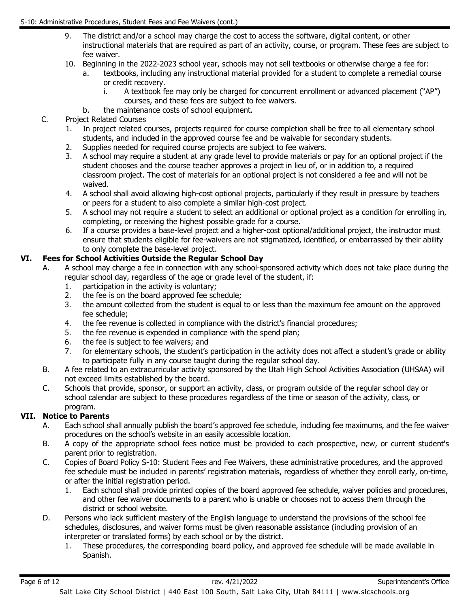- 9. The district and/or a school may charge the cost to access the software, digital content, or other instructional materials that are required as part of an activity, course, or program. These fees are subject to fee waiver.
- 10. Beginning in the 2022-2023 school year, schools may not sell textbooks or otherwise charge a fee for:
	- a. textbooks, including any instructional material provided for a student to complete a remedial course or credit recovery.
		- i. A textbook fee may only be charged for concurrent enrollment or advanced placement ("AP") courses, and these fees are subject to fee waivers.
	- b. the maintenance costs of school equipment.

#### C. Project Related Courses

- 1. In project related courses, projects required for course completion shall be free to all elementary school students, and included in the approved course fee and be waivable for secondary students.
- 2. Supplies needed for required course projects are subject to fee waivers.
- 3. A school may require a student at any grade level to provide materials or pay for an optional project if the student chooses and the course teacher approves a project in lieu of, or in addition to, a required classroom project. The cost of materials for an optional project is not considered a fee and will not be waived.
- 4. A school shall avoid allowing high-cost optional projects, particularly if they result in pressure by teachers or peers for a student to also complete a similar high-cost project.
- 5. A school may not require a student to select an additional or optional project as a condition for enrolling in, completing, or receiving the highest possible grade for a course.
- 6. If a course provides a base-level project and a higher-cost optional/additional project, the instructor must ensure that students eligible for fee-waivers are not stigmatized, identified, or embarrassed by their ability to only complete the base-level project.

## **VI. Fees for School Activities Outside the Regular School Day**

- A. A school may charge a fee in connection with any school-sponsored activity which does not take place during the regular school day, regardless of the age or grade level of the student, if:
	- 1. participation in the activity is voluntary;<br>2. the fee is on the board approved fee sch
	- the fee is on the board approved fee schedule;
	- 3. the amount collected from the student is equal to or less than the maximum fee amount on the approved fee schedule;
	- 4. the fee revenue is collected in compliance with the district's financial procedures;
	- 5. the fee revenue is expended in compliance with the spend plan;<br>6. the fee is subject to fee waivers; and
	- the fee is subject to fee waivers; and
	- 7. for elementary schools, the student's participation in the activity does not affect a student's grade or ability to participate fully in any course taught during the regular school day.
- B. A fee related to an extracurricular activity sponsored by the Utah High School Activities Association (UHSAA) will not exceed limits established by the board.
- C. Schools that provide, sponsor, or support an activity, class, or program outside of the regular school day or school calendar are subject to these procedures regardless of the time or season of the activity, class, or program.

#### **VII. Notice to Parents**

- A. Each school shall annually publish the board's approved fee schedule, including fee maximums, and the fee waiver procedures on the school's website in an easily accessible location.
- B. A copy of the appropriate school fees notice must be provided to each prospective, new, or current student's parent prior to registration.
- C. Copies of Board Policy S-10: Student Fees and Fee Waivers, these administrative procedures, and the approved fee schedule must be included in parents' registration materials, regardless of whether they enroll early, on-time, or after the initial registration period.
	- 1. Each school shall provide printed copies of the board approved fee schedule, waiver policies and procedures, and other fee waiver documents to a parent who is unable or chooses not to access them through the district or school website.
- D. Persons who lack sufficient mastery of the English language to understand the provisions of the school fee schedules, disclosures, and waiver forms must be given reasonable assistance (including provision of an interpreter or translated forms) by each school or by the district.
	- 1. These procedures, the corresponding board policy, and approved fee schedule will be made available in Spanish.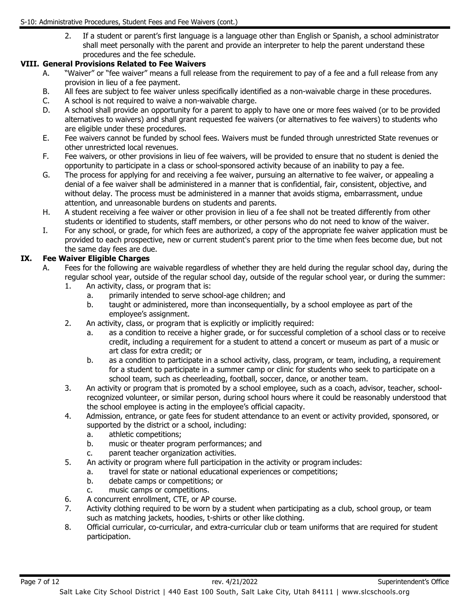2. If a student or parent's first language is a language other than English or Spanish, a school administrator shall meet personally with the parent and provide an interpreter to help the parent understand these procedures and the fee schedule.

# **VIII. General Provisions Related to Fee Waivers**

- A. "Waiver" or "fee waiver" means a full release from the requirement to pay of a fee and a full release from any provision in lieu of a fee payment.
- B. All fees are subject to fee waiver unless specifically identified as a non-waivable charge in these procedures.<br>C. A school is not required to waive a non-waivable charge.
- A school is not required to waive a non-waivable charge.
- D. A school shall provide an opportunity for a parent to apply to have one or more fees waived (or to be provided alternatives to waivers) and shall grant requested fee waivers (or alternatives to fee waivers) to students who are eligible under these procedures.
- E. Fee waivers cannot be funded by school fees. Waivers must be funded through unrestricted State revenues or other unrestricted local revenues.
- F. Fee waivers, or other provisions in lieu of fee waivers, will be provided to ensure that no student is denied the opportunity to participate in a class or school-sponsored activity because of an inability to pay a fee.
- G. The process for applying for and receiving a fee waiver, pursuing an alternative to fee waiver, or appealing a denial of a fee waiver shall be administered in a manner that is confidential, fair, consistent, objective, and without delay. The process must be administered in a manner that avoids stigma, embarrassment, undue attention, and unreasonable burdens on students and parents.
- H. A student receiving a fee waiver or other provision in lieu of a fee shall not be treated differently from other students or identified to students, staff members, or other persons who do not need to know of the waiver.
- I. For any school, or grade, for which fees are authorized, a copy of the appropriate fee waiver application must be provided to each prospective, new or current student's parent prior to the time when fees become due, but not the same day fees are due.

## **IX. Fee Waiver Eligible Charges**

- A. Fees for the following are waivable regardless of whether they are held during the regular school day, during the regular school year, outside of the regular school day, outside of the regular school year, or during the summer:
	- 1. An activity, class, or program that is:
		- a. primarily intended to serve school-age children; and
		- b. taught or administered, more than inconsequentially, by a school employee as part of the employee's assignment.
	- 2. An activity, class, or program that is explicitly or implicitly required:
		- a. as a condition to receive a higher grade, or for successful completion of a school class or to receive credit, including a requirement for a student to attend a concert or museum as part of a music or art class for extra credit; or
		- b. as a condition to participate in a school activity, class, program, or team, including, a requirement for a student to participate in a summer camp or clinic for students who seek to participate on a school team, such as cheerleading, football, soccer, dance, or another team.
	- 3. An activity or program that is promoted by a school employee, such as a coach, advisor, teacher, schoolrecognized volunteer, or similar person, during school hours where it could be reasonably understood that the school employee is acting in the employee's official capacity.
	- 4. Admission, entrance, or gate fees for student attendance to an event or activity provided, sponsored, or supported by the district or a school, including:<br>a. athletic competitions:
		- athletic competitions;
		- b. music or theater program performances; and
		- c. parent teacher organization activities.
	- 5. An activity or program where full participation in the activity or program includes:
		- a. travel for state or national educational experiences or competitions;
		- b. debate camps or competitions; or
		- c. music camps or competitions.
	- 6. A concurrent enrollment, CTE, or AP course.
	- 7. Activity clothing required to be worn by a student when participating as a club, school group, or team such as matching jackets, hoodies, t-shirts or other like clothing.
	- 8. Official curricular, co-curricular, and extra-curricular club or team uniforms that are required for student participation.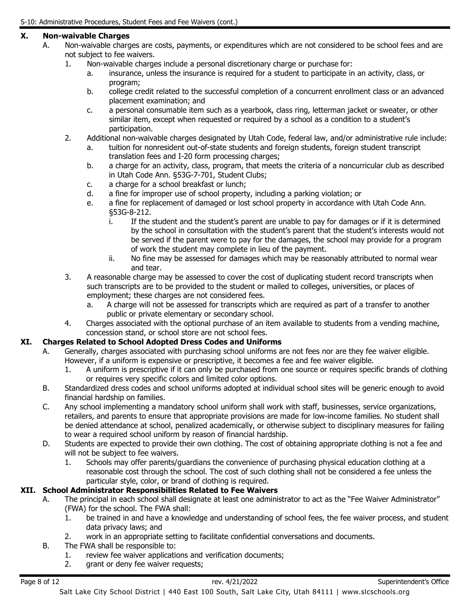## **X. Non-waivable Charges**

- A. Non-waivable charges are costs, payments, or expenditures which are not considered to be school fees and are not subject to fee waivers.
	- 1. Non-waivable charges include a personal discretionary charge or purchase for:
		- a. insurance, unless the insurance is required for a student to participate in an activity, class, or program;
		- b. college credit related to the successful completion of a concurrent enrollment class or an advanced placement examination; and
		- c. a personal consumable item such as a yearbook, class ring, letterman jacket or sweater, or other similar item, except when requested or required by a school as a condition to a student's participation.
	- 2. Additional non-waivable charges designated by Utah Code, federal law, and/or administrative rule include:
		- a. tuition for nonresident out-of-state students and foreign students, foreign student transcript translation fees and I-20 form processing charges;
		- b. a charge for an activity, class, program, that meets the criteria of a noncurricular club as described in Utah Code Ann. §53G-7-701, Student Clubs;
		- c. a charge for a school breakfast or lunch;
		- d. a fine for improper use of school property, including a parking violation; or
		- e. a fine for replacement of damaged or lost school property in accordance with Utah Code Ann. §53G-8-212.
			- i. If the student and the student's parent are unable to pay for damages or if it is determined by the school in consultation with the student's parent that the student's interests would not be served if the parent were to pay for the damages, the school may provide for a program of work the student may complete in lieu of the payment.
			- ii. No fine may be assessed for damages which may be reasonably attributed to normal wear and tear.
	- 3. A reasonable charge may be assessed to cover the cost of duplicating student record transcripts when such transcripts are to be provided to the student or mailed to colleges, universities, or places of employment; these charges are not considered fees.
		- a. A charge will not be assessed for transcripts which are required as part of a transfer to another public or private elementary or secondary school.
	- 4. Charges associated with the optional purchase of an item available to students from a vending machine, concession stand, or school store are not school fees.

#### **XI. Charges Related to School Adopted Dress Codes and Uniforms**

- A. Generally, charges associated with purchasing school uniforms are not fees nor are they fee waiver eligible. However, if a uniform is expensive or prescriptive, it becomes a fee and fee waiver eligible.
	- 1. A uniform is prescriptive if it can only be purchased from one source or requires specific brands of clothing or requires very specific colors and limited color options.
- B. Standardized dress codes and school uniforms adopted at individual school sites will be generic enough to avoid financial hardship on families.
- C. Any school implementing a mandatory school uniform shall work with staff, businesses, service organizations, retailers, and parents to ensure that appropriate provisions are made for low-income families. No student shall be denied attendance at school, penalized academically, or otherwise subject to disciplinary measures for failing to wear a required school uniform by reason of financial hardship.
- D. Students are expected to provide their own clothing. The cost of obtaining appropriate clothing is not a fee and will not be subject to fee waivers.
	- 1. Schools may offer parents/guardians the convenience of purchasing physical education clothing at a reasonable cost through the school. The cost of such clothing shall not be considered a fee unless the particular style, color, or brand of clothing is required.

## **XII. School Administrator Responsibilities Related to Fee Waivers**

- A. The principal in each school shall designate at least one administrator to act as the "Fee Waiver Administrator" (FWA) for the school. The FWA shall:
	- 1. be trained in and have a knowledge and understanding of school fees, the fee waiver process, and student data privacy laws; and
	- 2. work in an appropriate setting to facilitate confidential conversations and documents.
- B. The FWA shall be responsible to:
	- 1. review fee waiver applications and verification documents;
	- 2. grant or deny fee waiver requests;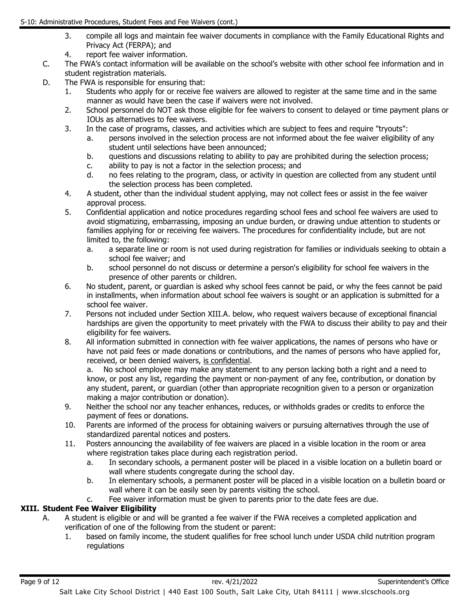- 3. compile all logs and maintain fee waiver documents in compliance with the Family Educational Rights and Privacy Act (FERPA); and
- 4. report fee waiver information.
- C. The FWA's contact information will be available on the school's website with other school fee information and in student registration materials.
- D. The FWA is responsible for ensuring that:
	- 1. Students who apply for or receive fee waivers are allowed to register at the same time and in the same manner as would have been the case if waivers were not involved.
	- 2. School personnel do NOT ask those eligible for fee waivers to consent to delayed or time payment plans or IOUs as alternatives to fee waivers.
	- 3. In the case of programs, classes, and activities which are subject to fees and require "tryouts":
		- a. persons involved in the selection process are not informed about the fee waiver eligibility of any student until selections have been announced;
		- b. questions and discussions relating to ability to pay are prohibited during the selection process;
		- c. ability to pay is not a factor in the selection process; and
		- d. no fees relating to the program, class, or activity in question are collected from any student until the selection process has been completed.
	- 4. A student, other than the individual student applying, may not collect fees or assist in the fee waiver approval process.
	- 5. Confidential application and notice procedures regarding school fees and school fee waivers are used to avoid stigmatizing, embarrassing, imposing an undue burden, or drawing undue attention to students or families applying for or receiving fee waivers. The procedures for confidentiality include, but are not limited to, the following:
		- a. a separate line or room is not used during registration for families or individuals seeking to obtain a school fee waiver; and
		- b. school personnel do not discuss or determine a person's eligibility for school fee waivers in the presence of other parents or children.
	- 6. No student, parent, or guardian is asked why school fees cannot be paid, or why the fees cannot be paid in installments, when information about school fee waivers is sought or an application is submitted for a school fee waiver.
	- 7. Persons not included under Section XIII.A. below, who request waivers because of exceptional financial hardships are given the opportunity to meet privately with the FWA to discuss their ability to pay and their eligibility for fee waivers.
	- 8. All information submitted in connection with fee waiver applications, the names of persons who have or have not paid fees or made donations or contributions, and the names of persons who have applied for, received, or been denied waivers, is confidential.

a. No school employee may make any statement to any person lacking both a right and a need to know, or post any list, regarding the payment or non-payment of any fee, contribution, or donation by any student, parent, or guardian (other than appropriate recognition given to a person or organization making a major contribution or donation).

- 9. Neither the school nor any teacher enhances, reduces, or withholds grades or credits to enforce the payment of fees or donations.
- 10. Parents are informed of the process for obtaining waivers or pursuing alternatives through the use of standardized parental notices and posters.
- 11. Posters announcing the availability of fee waivers are placed in a visible location in the room or area where registration takes place during each registration period.
	- a. In secondary schools, a permanent poster will be placed in a visible location on a bulletin board or wall where students congregate during the school day.
	- b. In elementary schools, a permanent poster will be placed in a visible location on a bulletin board or wall where it can be easily seen by parents visiting the school.
	- c. Fee waiver information must be given to parents prior to the date fees are due.

# **XIII. Student Fee Waiver Eligibility**

- A. A student is eligible or and will be granted a fee waiver if the FWA receives a completed application and verification of one of the following from the student or parent:
	- 1. based on family income, the student qualifies for free school lunch under USDA child nutrition program regulations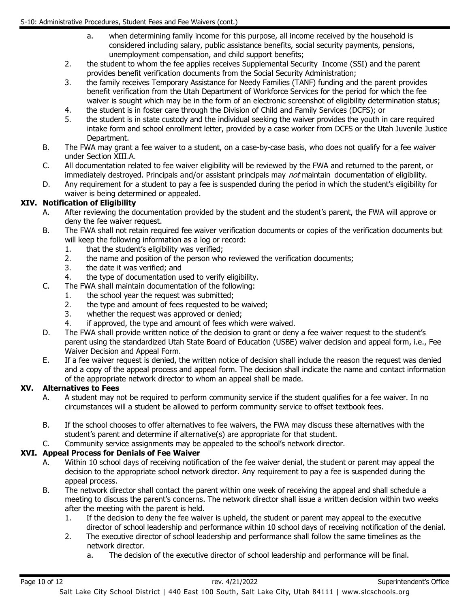- a. when determining family income for this purpose, all income received by the household is considered including salary, public assistance benefits, social security payments, pensions, unemployment compensation, and child support benefits;
- 2. the student to whom the fee applies receives Supplemental Security Income (SSI) and the parent provides benefit verification documents from the Social Security Administration;
- 3. the family receives Temporary Assistance for Needy Families (TANF) funding and the parent provides benefit verification from the Utah Department of Workforce Services for the period for which the fee waiver is sought which may be in the form of an electronic screenshot of eligibility determination status;
- 4. the student is in foster care through the Division of Child and Family Services (DCFS); or <br>5. the student is in state custody and the individual seeking the waiver provides the vouth in
- the student is in state custody and the individual seeking the waiver provides the youth in care required intake form and school enrollment letter, provided by a case worker from DCFS or the Utah Juvenile Justice Department.
- B. The FWA may grant a fee waiver to a student, on a case-by-case basis, who does not qualify for a fee waiver under Section XIII.A.
- C. All documentation related to fee waiver eligibility will be reviewed by the FWA and returned to the parent, or immediately destroyed. Principals and/or assistant principals may *not* maintain documentation of eligibility.
- D. Any requirement for a student to pay a fee is suspended during the period in which the student's eligibility for waiver is being determined or appealed.

## **XIV. Notification of Eligibility**

- A. After reviewing the documentation provided by the student and the student's parent, the FWA will approve or deny the fee waiver request.
- B. The FWA shall not retain required fee waiver verification documents or copies of the verification documents but will keep the following information as a log or record:
	- 1. that the student's eligibility was verified;
	- 2. the name and position of the person who reviewed the verification documents;
	- 3. the date it was verified; and
	- 4. the type of documentation used to verify eligibility.
- C. The FWA shall maintain documentation of the following:
	- 1. the school year the request was submitted;
	- 2. the type and amount of fees requested to be waived;<br>3. whether the request was approved or denied:
	- 3. whether the request was approved or denied;<br>4. if approved, the type and amount of fees which
	- if approved, the type and amount of fees which were waived.
- D. The FWA shall provide written notice of the decision to grant or deny a fee waiver request to the student's parent using the standardized Utah State Board of Education (USBE) waiver decision and appeal form, i.e., Fee Waiver Decision and Appeal Form.
- E. If a fee waiver request is denied, the written notice of decision shall include the reason the request was denied and a copy of the appeal process and appeal form. The decision shall indicate the name and contact information of the appropriate network director to whom an appeal shall be made.

#### **XV. Alternatives to Fees**

- A. A student may not be required to perform community service if the student qualifies for a fee waiver. In no circumstances will a student be allowed to perform community service to offset textbook fees.
- B. If the school chooses to offer alternatives to fee waivers, the FWA may discuss these alternatives with the student's parent and determine if alternative(s) are appropriate for that student.
- C. Community service assignments may be appealed to the school's network director.

#### **XVI. Appeal Process for Denials of Fee Waiver**

- A. Within 10 school days of receiving notification of the fee waiver denial, the student or parent may appeal the decision to the appropriate school network director. Any requirement to pay a fee is suspended during the appeal process.
- B. The network director shall contact the parent within one week of receiving the appeal and shall schedule a meeting to discuss the parent's concerns. The network director shall issue a written decision within two weeks after the meeting with the parent is held.
	- 1. If the decision to deny the fee waiver is upheld, the student or parent may appeal to the executive director of school leadership and performance within 10 school days of receiving notification of the denial.
	- 2. The executive director of school leadership and performance shall follow the same timelines as the network director.
		- a. The decision of the executive director of school leadership and performance will be final.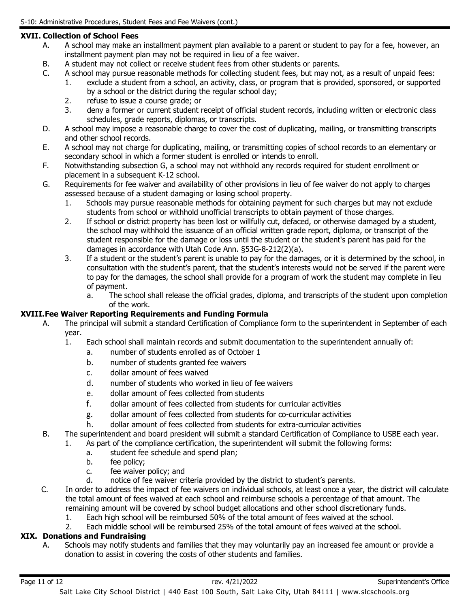# **XVII. Collection of School Fees**

- A. A school may make an installment payment plan available to a parent or student to pay for a fee, however, an installment payment plan may not be required in lieu of a fee waiver.
- B. A student may not collect or receive student fees from other students or parents.
- C. A school may pursue reasonable methods for collecting student fees, but may not, as a result of unpaid fees:
	- 1. exclude a student from a school, an activity, class, or program that is provided, sponsored, or supported by a school or the district during the regular school day;
	- 2. refuse to issue a course grade; or
	- 3. deny a former or current student receipt of official student records, including written or electronic class schedules, grade reports, diplomas, or transcripts.
- D. A school may impose a reasonable charge to cover the cost of duplicating, mailing, or transmitting transcripts and other school records.
- E. A school may not charge for duplicating, mailing, or transmitting copies of school records to an elementary or secondary school in which a former student is enrolled or intends to enroll.
- F. Notwithstanding subsection G, a school may not withhold any records required for student enrollment or placement in a subsequent K-12 school.
- G. Requirements for fee waiver and availability of other provisions in lieu of fee waiver do not apply to charges assessed because of a student damaging or losing school property.
	- 1. Schools may pursue reasonable methods for obtaining payment for such charges but may not exclude students from school or withhold unofficial transcripts to obtain payment of those charges.
	- 2. If school or district property has been lost or willfully cut, defaced, or otherwise damaged by a student, the school may withhold the issuance of an official written grade report, diploma, or transcript of the student responsible for the damage or loss until the student or the student's parent has paid for the damages in accordance with Utah Code Ann. §53G-8-212(2)(a).
	- 3. If a student or the student's parent is unable to pay for the damages, or it is determined by the school, in consultation with the student's parent, that the student's interests would not be served if the parent were to pay for the damages, the school shall provide for a program of work the student may complete in lieu of payment.
		- a. The school shall release the official grades, diploma, and transcripts of the student upon completion of the work.

#### **XVIII.Fee Waiver Reporting Requirements and Funding Formula**

- A. The principal will submit a standard Certification of Compliance form to the superintendent in September of each year.<br>1.
	- Each school shall maintain records and submit documentation to the superintendent annually of:
		- a. number of students enrolled as of October 1
		- b. number of students granted fee waivers
		- c. dollar amount of fees waived
		- d. number of students who worked in lieu of fee waivers
		- e. dollar amount of fees collected from students
		- f. dollar amount of fees collected from students for curricular activities
		- g. dollar amount of fees collected from students for co-curricular activities
		- h. dollar amount of fees collected from students for extra-curricular activities
- B. The superintendent and board president will submit a standard Certification of Compliance to USBE each year.
	- 1. As part of the compliance certification, the superintendent will submit the following forms:
		- a. student fee schedule and spend plan;
		- b. fee policy;
		- c. fee waiver policy; and
		- d. notice of fee waiver criteria provided by the district to student's parents.
- C. In order to address the impact of fee waivers on individual schools, at least once a year, the district will calculate the total amount of fees waived at each school and reimburse schools a percentage of that amount. The remaining amount will be covered by school budget allocations and other school discretionary funds.
	- 1. Each high school will be reimbursed 50% of the total amount of fees waived at the school.
	- 2. Each middle school will be reimbursed 25% of the total amount of fees waived at the school.

#### **XIX. Donations and Fundraising**

A. Schools may notify students and families that they may voluntarily pay an increased fee amount or provide a donation to assist in covering the costs of other students and families.